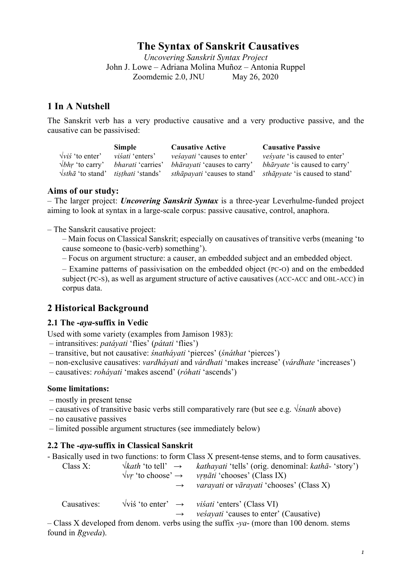# **The Syntax of Sanskrit Causatives**

*Uncovering Sanskrit Syntax Project* John J. Lowe – Adriana Molina Muñoz – Antonia Ruppel Zoomdemic 2.0, JNU May 26, 2020

# **1 In A Nutshell**

The Sanskrit verb has a very productive causative and a very productive passive, and the causative can be passivised:

|                         | Simple                                                         | <b>Causative Active</b>             | <b>Causative Passive</b>              |
|-------------------------|----------------------------------------------------------------|-------------------------------------|---------------------------------------|
| $\sqrt{vis}'$ to enter' | <i>visati</i> 'enters'                                         | <i>vesayati</i> 'causes to enter'   | <i>vesyate</i> 'is caused to enter'   |
| $\sqrt{b}$ to carry'    | <i>bharati</i> 'carries'                                       | <i>bhārayati</i> 'causes to carry'  | <i>bhāryate</i> 'is caused to carry'  |
|                         | $\sqrt{s}$ tha <sup>t</sup> to stand' <i>tisthati</i> 'stands' | <i>sthāpayati</i> 'causes to stand' | <i>sthāpyate</i> 'is caused to stand' |

## **Aims of our study:**

– The larger project: *Uncovering Sanskrit Syntax* is a three-year Leverhulme-funded project aiming to look at syntax in a large-scale corpus: passive causative, control, anaphora.

– The Sanskrit causative project:

- Main focus on Classical Sanskrit; especially on causatives of transitive verbs (meaning 'to cause someone to (basic-verb) something').
- Focus on argument structure: a causer, an embedded subject and an embedded object.

– Examine patterns of passivisation on the embedded object (PC-O) and on the embedded subject (PC-S), as well as argument structure of active causatives (ACC-ACC and OBL-ACC) in corpus data.

# **2 Historical Background**

## **2.1 The -***aya***-suffix in Vedic**

Used with some variety (examples from Jamison 1983):

- intransitives: *patáyati* 'flies' (*pátati* 'flies')
- transitive, but not causative: *śnatháyati* 'pierces' (*śnáthat* 'pierces')
- non-exclusive causatives: *vardháyati* and *várdhati* 'makes increase' (*várdhate* 'increases')
- causatives: *roháyati* 'makes ascend' (*róhati* 'ascends')

#### **Some limitations:**

- mostly in present tense
- causatives of transitive basic verbs still comparatively rare (but see e.g. √*śnath* above)
- no causative passives
- limited possible argument structures (see immediately below)

## **2.2 The** *-aya***-suffix in Classical Sanskrit**

|             |               | - Basically used in two functions: to form Class X present-tense stems, and to form causatives.                                                                   |
|-------------|---------------|-------------------------------------------------------------------------------------------------------------------------------------------------------------------|
| Class $X$ : |               | $\forall kath$ 'to tell' $\rightarrow$ kathayati 'tells' (orig. denominal: katha- 'story')<br>$\forall v r$ 'to choose' $\rightarrow$ vrnāti 'chooses' (Class IX) |
|             | $\rightarrow$ | <i>varayati</i> or <i>vārayati</i> 'chooses' (Class X)                                                                                                            |
| Causatives: |               | $\forall$ vis' 'to enter' $\rightarrow$ visati 'enters' (Class VI)<br><i>vesayati</i> 'causes to enter' (Causative)                                               |

– Class X developed from denom. verbs using the suffix -*ya*- (more than 100 denom. stems found in *Ṛgveda*).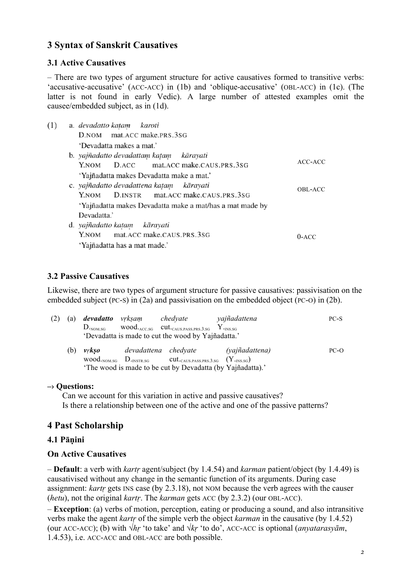## **3 Syntax of Sanskrit Causatives**

#### **3.1 Active Causatives**

– There are two types of argument structure for active causatives formed to transitive verbs: 'accusative-accusative' (ACC-ACC) in (1b) and 'oblique-accusative' (OBL-ACC) in (1c). (The latter is not found in early Vedic). A large number of attested examples omit the causee/embedded subject, as in (1d).

| (1) | a. devadatto katam karoti                                |         |
|-----|----------------------------------------------------------|---------|
|     | D.NOM mat.ACC make.PRS.3SG                               |         |
|     | 'Devadatta makes a mat.'                                 |         |
|     | b. yajñadatto devadattam katam kārayati                  |         |
|     | D.ACC mat.ACC make.CAUS.PRS.3SG<br>Y.NOM                 | ACC-ACC |
|     | 'Yajñadatta makes Devadatta make a mat.'                 |         |
|     | c. yajñadatto devadattena katam kārayati                 | OBL-ACC |
|     | D.INSTR mat.ACC make.CAUS.PRS.3SG<br>Y.NOM               |         |
|     | 'Yajñadatta makes Devadatta make a mat/has a mat made by |         |
|     | Devadatta.'                                              |         |
|     | d. yajñadatto katam kārayati                             |         |
|     | mat.ACC make.CAUS.PRS.3SG<br>Y.NOM                       | $0-ACC$ |
|     | 'Yajñadatta has a mat made.'                             |         |

#### **3.2 Passive Causatives**

Likewise, there are two types of argument structure for passive causatives: passivisation on the embedded subject (PC-S) in (2a) and passivisation on the embedded object (PC-O) in (2b).

| (2) | (a) | <b>devadatto</b> vrksam<br>$D_{\text{-NOM.SG}}$ | chedyate<br>$wood_{ACC.SG}$ cut. CAUS PASS PRS 3.SG Y. INS.SG<br>'Devadatta is made to cut the wood by Yajñadatta.'                                                | yajñadattena   | PC-S |
|-----|-----|-------------------------------------------------|--------------------------------------------------------------------------------------------------------------------------------------------------------------------|----------------|------|
|     | (b) | <i>vrkso</i>                                    | devadattena chedyate<br>$wood_{.NOM.SG}$ $D_{.INSTR.SG}$ $cut_{.CAUS.PASS.PRS,3.SG}$ $(Y_{.INS.SG})$<br>'The wood is made to be cut by Devadatta (by Yajñadatta).' | (yajñadattena) | PC-O |

#### **–› Questions:**

Can we account for this variation in active and passive causatives? Is there a relationship between one of the active and one of the passive patterns?

## **4 Past Scholarship**

#### **4.1 Pāṇini**

#### **On Active Causatives**

– **Default**: a verb with *kartṛ* agent/subject (by 1.4.54) and *karman* patient/object (by 1.4.49) is causativised without any change in the semantic function of its arguments. During case assignment: *kartṛ* gets INS case (by 2.3.18), not NOM because the verb agrees with the causer (*hetu*), not the original *kartṛ*. The *karman* gets ACC (by 2.3.2) (our OBL-ACC).

– **Exception**: (a) verbs of motion, perception, eating or producing a sound, and also intransitive verbs make the agent *kartṛ* of the simple verb the object *karman* in the causative (by 1.4.52) (our ACC-ACC); (b) with √*hṛ* 'to take' and √*kṛ* 'to do', ACC-ACC is optional (*anyatarasyām*, 1.4.53), i.e. ACC-ACC and OBL-ACC are both possible.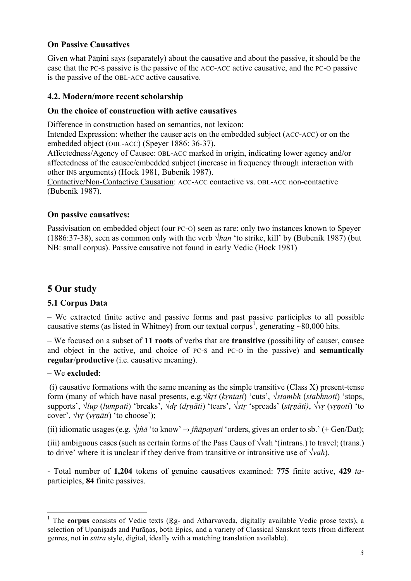## **On Passive Causatives**

Given what Pāṇini says (separately) about the causative and about the passive, it should be the case that the PC-S passive is the passive of the ACC-ACC active causative, and the PC-O passive is the passive of the OBL-ACC active causative.

#### **4.2. Modern/more recent scholarship**

#### **On the choice of construction with active causatives**

Difference in construction based on semantics, not lexicon:

Intended Expression: whether the causer acts on the embedded subject (ACC-ACC) or on the embedded object (OBL-ACC) (Speyer 1886: 36-37).

Affectedness/Agency of Causee: OBL-ACC marked in origin, indicating lower agency and/or affectedness of the causee/embedded subject (increase in frequency through interaction with other INS arguments) (Hock 1981, Bubeník 1987).

Contactive/Non-Contactive Causation: ACC-ACC contactive vs. OBL-ACC non-contactive (Bubeník 1987).

#### **On passive causatives:**

Passivisation on embedded object (our PC-O) seen as rare: only two instances known to Speyer (1886:37-38), seen as common only with the verb √*han* 'to strike, kill' by (Bubeník 1987) (but NB: small corpus). Passive causative not found in early Vedic (Hock 1981)

# **5 Our study**

## **5.1 Corpus Data**

– We extracted finite active and passive forms and past passive participles to all possible causative stems (as listed in Whitney) from our textual corpus<sup>1</sup>, generating ~80,000 hits.

– We focused on a subset of **11 roots** of verbs that are **transitive** (possibility of causer, causee and object in the active, and choice of PC-S and PC-O in the passive) and **semantically regular**/**productive** (i.e. causative meaning).

#### – We **excluded**:

 $(i)$  causative formations with the same meaning as the simple transitive (Class X) present-tense form (many of which have nasal presents, e.g.√*kṛt* (*kṛntati*) 'cuts', √*stambh* (*stabhnoti*) 'stops, supports', √*lup* (*lumpati*) 'breaks', √*dṛ* (*dṛṇāti*) 'tears', √*stṛ* 'spreads' (*stṛṇāti)*, √*vṛ* (*vṛṇoti*) 'to cover',  $\sqrt{vr}$  ( $vrnāti$ ) 'to choose');

(ii) idiomatic usages (e.g.  $\sqrt{i} \tilde{n} \tilde{a}$  'to know'  $\rightarrow$   $i \tilde{n} \tilde{a} p a y a t i$  'orders, gives an order to sb.' (+ Gen/Dat);

(iii) ambiguous cases (such as certain forms of the Pass Caus of  $\sqrt{\text{v}}$ ah '(intrans.) to travel; (trans.) to drive' where it is unclear if they derive from transitive or intransitive use of √*vah*).

- Total number of **1,204** tokens of genuine causatives examined: **775** finite active, **429** *ta*participles, **84** finite passives.

<sup>&</sup>lt;sup>1</sup> The **corpus** consists of Vedic texts (Rg- and Atharvaveda, digitally available Vedic prose texts), a selection of Upanisads and Purāṇas, both Epics, and a variety of Classical Sanskrit texts (from different genres, not in *sūtra* style, digital, ideally with a matching translation available).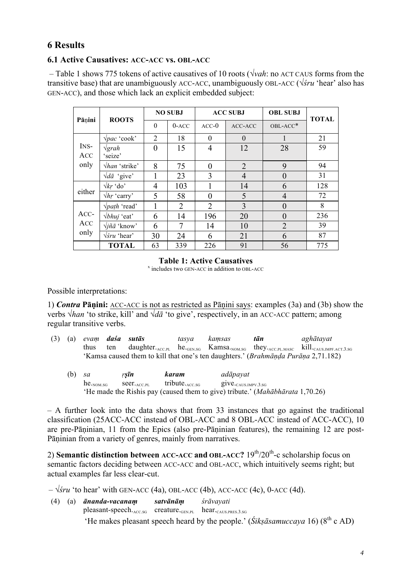# **6 Results**

#### **6.1 Active Causatives: ACC-ACC vs. OBL-ACC**

– Table 1 shows 775 tokens of active causatives of 10 roots (√*vah*: no ACT CAUS forms from the transitive base) that are unambiguously ACC-ACC, unambiguously OBL-ACC (√*śru* 'hear' also has GEN-ACC), and those which lack an explicit embedded subject:

| Pānini              | <b>ROOTS</b>                          | <b>NO SUBJ</b> |                |                | <b>ACC SUBJ</b> | <b>OBL SUBJ</b> | <b>TOTAL</b> |
|---------------------|---------------------------------------|----------------|----------------|----------------|-----------------|-----------------|--------------|
|                     |                                       | $\theta$       | $0 - ACC$      | $ACC-0$        | ACC-ACC         | OBL-ACC*        |              |
|                     | $\sqrt{pac}$ 'cook'                   | 2              | 18             | $\theta$       | $\theta$        |                 | 21           |
| INS-<br>ACC         | $\sqrt{grah}$<br>'seize'              | $\theta$       | 15             | $\overline{4}$ | 12              | 28              | 59           |
| only                | $\sqrt{han}$ 'strike'                 | 8              | 75             | $\overline{0}$ | $\overline{2}$  | 9               | 94           |
|                     | $\sqrt{d\bar{a}}$ 'give'              |                | 23             | 3              | $\overline{4}$  | $\theta$        | 31           |
|                     | $\sqrt{kr}$ 'do'                      | 4              | 103            | 1              | 14              | 6               | 128          |
| either              | $\sqrt{hr}$ 'carry'                   | 5              | 58             | 0              | 5               | $\overline{4}$  | 72           |
|                     | $\sqrt{path}$ 'read'                  |                | $\overline{2}$ | 2              | 3               | $\theta$        | 8            |
| ACC-<br>ACC<br>only | $\forall b$ <i>huj</i> 'eat'          | 6              | 14             | 196            | 20              | $\overline{0}$  | 236          |
|                     | $\sqrt{j} \tilde{n} \tilde{a}$ 'know' | 6              | 7              | 14             | 10              | $\overline{2}$  | 39           |
|                     | $\sqrt{\sin}$ 'hear'                  | 30             | 24             | 6              | 21              | 6               | 87           |
|                     | <b>TOTAL</b>                          | 63             | 339            | 226            | 91              | 56              | 775          |

# **Table 1: Active Causatives** *x* includes two GEN-ACC in addition to OBL-ACC

Possible interpretations:

1) *Contra* **Pāṇini:** ACC-ACC is not as restricted as Pāṇini says: examples (3a) and (3b) show the verbs √*han* 'to strike, kill' and √*dā* 'to give', respectively, in an ACC-ACC pattern; among regular transitive verbs.

(3) (a) *evaṃ daśa sutās tasya kaṃsas tān aghātayat* thus ten daughter.ACC.PL he.GEN.SG Kamsa.NOM.SG they.ACC.PL.MASC kill.CAUS.IMPF.ACT.3.SG 'Kamsa caused them to kill that one's ten daughters.' (*Brahmāṇḍa Purāṇa* 2,71.182)

| (b) | sa                    | $rS$ <i>In</i>      | karam                    | adāpayat                                                                              |
|-----|-----------------------|---------------------|--------------------------|---------------------------------------------------------------------------------------|
|     | $he_{\text{-NOM-SG}}$ | $sec_{L_{ACC\,PI}}$ | tribute. $_{\rm ACC,SG}$ | $g_1ve_{\text{caus}.\text{IMPV}.3.\text{SG}}$                                         |
|     |                       |                     |                          | 'He made the Rishis pay (caused them to give) tribute.' ( <i>Mahābhārata</i> 1,70.26) |

– A further look into the data shows that from 33 instances that go against the traditional classification (25ACC-ACC instead of OBL-ACC and 8 OBL-ACC instead of ACC-ACC), 10 are pre-Pāninian, 11 from the Epics (also pre-Pāninian features), the remaining 12 are post-Pāṇinian from a variety of genres, mainly from narratives.

2) **Semantic distinction between ACC-ACC and OBL-ACC?** 19th/20th-c scholarship focus on semantic factors deciding between ACC-ACC and OBL-ACC, which intuitively seems right; but actual examples far less clear-cut.

– √*śru* 'to hear' with GEN-ACC (4a), OBL-ACC (4b), ACC-ACC (4c), 0-ACC (4d).

(4) (a) *ānanda-vacanaṃ satvānāṃ śrāvayati* pleasant-speech. $_{\text{ACC SG}}$  creature. $_{\text{GEN PL}}$  hear. $_{\text{CAUS PRES 3 SG}}$ 'He makes pleasant speech heard by the people.' (*Śikṣāsamuccaya* 16) ( $8<sup>th</sup>$  c AD)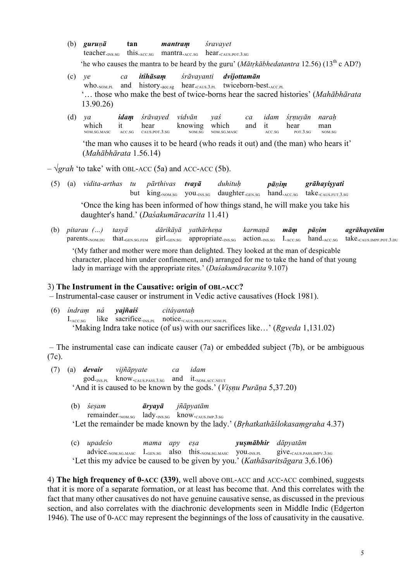- **(7)** (b) *guruṇā* **tan** *mantraṃ śravayet* teacher.<sub>INS.SG</sub> this.<sub>ACC.SG</sub> mantra.<sub>ACC.SG</sub> hear.<sub>CAUS.POT.3.SG</sub> 'he who causes the mantra to be heard by the guru' (*Mātṛkābhedatantra* 12.56) (13th c AD?)
- (9) (c) *ye ca itihāsaṃ śrāvayanti dvijottamān* who.<sub>NOM.PL</sub> and history.<sub>acc.sg</sub> hear.<sub>CAUS.3.PL</sub> twiceborn-best.<sub>ACC.PL</sub> '… those who make the best of twice-borns hear the sacred histories' (*Mahābhārata* 13.90.26)
- (9) (d) *ya idaṃ śrāvayed vidvān yaś ca idam śṛṇuyān naraḥ* which NOM.SG.MASC it ACC.SG hear CAUS.POT.3.SG knowing which NOM.SG.MASC and it ACC.SG  $hear_{POT.3.SG}$ man NOM.SG 'the man who causes it to be heard (who reads it out) and (the man) who hears it'

(*Mahābhārata* 1.56.14)

 $-\sqrt{grad}$  'to take' with OBL-ACC (5a) and ACC-ACC (5b).

- (5) (a) *vidita-arthas tu pārthivas tvayā duhituḥ pāṇiṃ grāhayiṣyati* but king.<sub>NOM.SG</sub> you.<sub>INS.SG</sub> daughter.<sub>GEN.SG</sub> hand.<sub>ACC.SG</sub> take.<sub>CAUS.FUT.3.SG</sub> 'Once the king has been informed of how things stand, he will make you take his daughter's hand.' (*Daśakumāracarita* 11.41)
- (b) pitarau (...) tasyā dārikāyā yathārhena karmaņā mām pāņim agrāhayetām parents.<sub>NOM.DU</sub> that.<sub>GEN.SG.FEM</sub> girl.<sub>GEN.SG</sub> appropriate.<sub>INS.SG</sub> action.<sub>INS.SG</sub> I.Acc.sG hand.Acc.sG take.cAUS.IMPF.POT.3.DU '(My father and mother were more than delighted. They looked at the man of despicable character, placed him under confinement, and) arranged for me to take the hand of that young

#### lady in marriage with the appropriate rites.' (*Daśakumāracarita* 9.107)

#### 3) **The Instrument in the Causative: origin of OBL-ACC?**

– Instrumental-case causer or instrument in Vedic active causatives (Hock 1981).

(6) *índraṃ ná yajñaíś citáyantaḥ* I.ACC.SG like sacrifice.INS.PL notice.CAUS.PRES.PTC.NOM.PL 'Making Indra take notice (of us) with our sacrifices like…' (*Ṛgveda* 1,131.02)

– The instrumental case can indicate causer (7a) or embedded subject (7b), or be ambiguous (7c).

- (7) (a) *devair vijñāpyate ca idam* god.<sub>INS.PL</sub> know.<sub>CAUS.PASS.3.SG</sub> and it.<sub>NOM.ACC.NEUT</sub> 'And it is caused to be known by the gods.' (*Viṣṇu Purāṇa* 5,37.20)
	- **(10)** (b) *śeṣam āryayā jñāpyatām* remainder.<sub>NOM.SG</sub> lady.<sub>INS.SG</sub> know.<sub>CAUS.IMP.3.SG</sub> 'Let the remainder be made known by the lady.' (*Bṛhatkathāślokasaṃgraha* 4.37)
	- **(10)** (c) *upadeśo mama apy eṣa yuṣmābhir dāpyatām* advice.<sub>NOM.SG.MASC</sub> I.<sub>GEN.SG</sub> also this.<sub>NOM.SG.MASC</sub> you.<sub>INS.PL</sub> give.cAUS.PASS.IMPV.3.SG 'Let this my advice be caused to be given by you.' (*Kathāsaritsāgara* 3,6.106)

4) **The high frequency of 0-ACC (339)**, well above OBL-ACC and ACC-ACC combined, suggests that it is more of a separate formation, or at least has become that. And this correlates with the fact that many other causatives do not have genuine causative sense, as discussed in the previous section, and also correlates with the diachronic developments seen in Middle Indic (Edgerton 1946). The use of 0-ACC may represent the beginnings of the loss of causativity in the causative.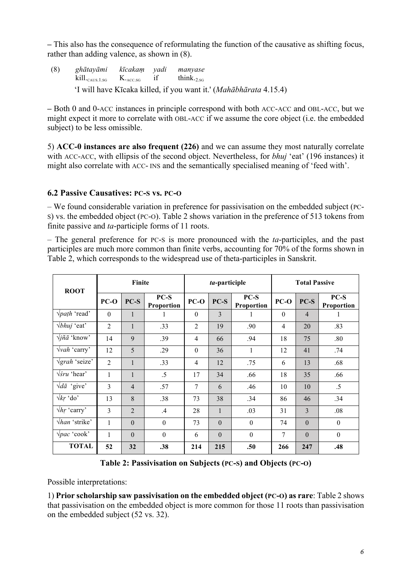**–** This also has the consequence of reformulating the function of the causative as shifting focus, rather than adding valence, as shown in (8).

(8) *ghātayāmi kīcakaṃ yadi manyase*  $kill_{\text{CAUS 1.SG}}$   $K_{\text{ACCSG}}$  if think.<sub>2.SG</sub> 'I will have Kīcaka killed, if you want it.' (*Mahābhārata* 4.15.4)

**–** Both 0 and 0-ACC instances in principle correspond with both ACC-ACC and OBL-ACC, but we might expect it more to correlate with OBL-ACC if we assume the core object (i.e. the embedded subject) to be less omissible.

5) **ACC-0 instances are also frequent (226)** and we can assume they most naturally correlate with ACC-ACC, with ellipsis of the second object. Nevertheless, for *bhuj* 'eat' (196 instances) it might also correlate with ACC- INS and the semantically specialised meaning of 'feed with'.

#### **6.2 Passive Causatives: PC-S vs. PC-O**

– We found considerable variation in preference for passivisation on the embedded subject (PC-S) vs. the embedded object (PC-O). Table 2 shows variation in the preference of 513 tokens from finite passive and *ta*-participle forms of 11 roots.

– The general preference for PC-S is more pronounced with the *ta*-participles, and the past participles are much more common than finite verbs, accounting for 70% of the forms shown in Table 2, which corresponds to the widespread use of theta-participles in Sanskrit.

| <b>ROOT</b>                         | Finite         |                |                      |                  | ta-participle |                    | <b>Total Passive</b> |                |                      |
|-------------------------------------|----------------|----------------|----------------------|------------------|---------------|--------------------|----------------------|----------------|----------------------|
|                                     | $PC-O$         | $PC-S$         | $PC-S$<br>Proportion | $PC-O$           | $PC-S$        | PC-S<br>Proportion | $PC-O$               | $PC-S$         | $PC-S$<br>Proportion |
| $\sqrt{path}$ read'                 | $\Omega$       | $\mathbf{1}$   | 1                    | $\boldsymbol{0}$ | $\mathbf{3}$  | 1                  | $\mathbf{0}$         | $\overline{4}$ | 1                    |
| $\forall b$ <i>huj</i> 'eat'        | $\overline{2}$ | $\mathbf{1}$   | .33                  | $\overline{2}$   | 19            | .90                | $\overline{4}$       | 20             | .83                  |
| $\sqrt{j} \tilde{n} \bar{a}$ 'know' | 14             | 9              | .39                  | 4                | 66            | .94                | 18                   | 75             | .80                  |
| $\sqrt{vah}$ 'carry'                | 12             | 5              | .29                  | $\boldsymbol{0}$ | 36            | $\mathbf{1}$       | 12                   | 41             | .74                  |
| $\sqrt{grah}$ 'seize'               | $\overline{2}$ | $\mathbf{1}$   | .33                  | 4                | 12            | .75                | 6                    | 13             | .68                  |
| $\sqrt{\sin}$ 'hear'                | 1              | $\mathbf{1}$   | $.5\,$               | 17               | 34            | .66                | 18                   | 35             | .66                  |
| $\sqrt{d\bar{a}}$ 'give'            | 3              | $\overline{4}$ | .57                  | 7                | 6             | .46                | 10                   | 10             | .5                   |
| $\sqrt{kr}$ 'do'                    | 13             | 8              | .38                  | 73               | 38            | .34                | 86                   | 46             | .34                  |
| $\sqrt{hr}$ 'carry'                 | $\overline{3}$ | $\overline{2}$ | $\mathcal{A}$        | 28               | $\mathbf{1}$  | .03                | 31                   | 3              | .08                  |
| $\sqrt{han}$ 'strike'               | 1              | $\theta$       | $\theta$             | 73               | $\Omega$      | $\theta$           | 74                   | $\theta$       | $\mathbf{0}$         |
| $\sqrt{pac}$ 'cook'                 | 1              | $\theta$       | $\theta$             | 6                | $\Omega$      | $\theta$           | 7                    | $\theta$       | $\boldsymbol{0}$     |
| <b>TOTAL</b>                        | 52             | 32             | .38                  | 214              | 215           | .50                | 266                  | 247            | .48                  |

**Table 2: Passivisation on Subjects (PC-S) and Objects (PC-O)**

Possible interpretations:

1) **Prior scholarship saw passivisation on the embedded object (PC-O) as rare**: Table 2 shows that passivisation on the embedded object is more common for those 11 roots than passivisation on the embedded subject (52 vs. 32).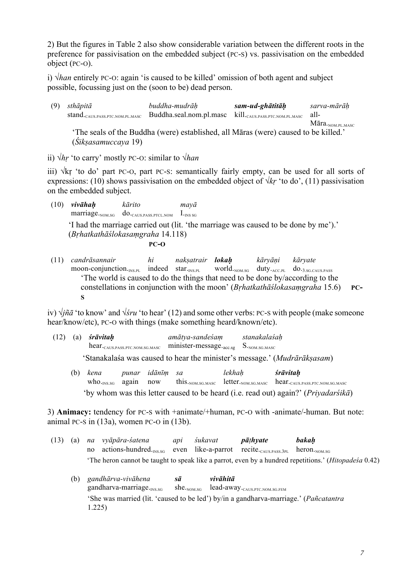2) But the figures in Table 2 also show considerable variation between the different roots in the preference for passivisation on the embedded subject (PC-S) vs. passivisation on the embedded object (PC-O).

i) √*han* entirely PC-O: again 'is caused to be killed' omission of both agent and subject possible, focussing just on the (soon to be) dead person.

(9) *sthāpitā buddha-mudrāḥ sam-ud-ghātitāḥ sarva-mārāḥ* stand.CAUS.PASS.PTC.NOM.PL.MASC Buddha.seal.nom.pl.masc kill.CAUS.PASS.PTC.NOM.PL.MASC all-Māra.<sub>NOM.PL.MASC</sub> 'The seals of the Buddha (were) established, all Māras (were) caused to be killed.' (*Śikṣasamuccaya* 19)

ii) √*hṛ* 'to carry' mostly PC-O: similar to √*han*

iii) √kṛ 'to do' part PC-O, part PC-S: semantically fairly empty, can be used for all sorts of expressions: (10) shows passivisation on the embedded object of  $\sqrt{k r}$  'to do', (11) passivisation on the embedded subject.

- (10) *vivāhaḥ kārito mayā* marriage.NOM.SG do.caus.PASS.PTCL.NOM I.INS SG 'I had the marriage carried out (lit. 'the marriage was caused to be done by me').' (*Bṛhatkathāślokasaṃgraha* 14.118) **PC-O**
- (11) *candrāsannair hi nakṣatrair lokaḥ kāryāṇi kāryate* moon-conjunction.<sub>INS.PL</sub> indeed star.<sub>INS.PL</sub> world.<sub>NOM.SG</sub> duty.<sub>ACC.PL</sub> do.<sub>3.SG.CAUS.PASS</sub> 'The world is caused to do the things that need to be done by/according to the constellations in conjunction with the moon' (*Bṛhatkathāślokasaṃgraha* 15.6) **PC-S**

iv) √*jñā* 'to know' and √*śru* 'to hear' (12) and some other verbs: PC-S with people (make someone hear/know/etc), PC-O with things (make something heard/known/etc).

- (12) (a) *śrāvitaḥ amātya-sandeśaṃ stanakalaśaḥ* hear.<sub>CAUS</sub> PASS PTC.NOM.SG.MASC minister-message.<sub>acc.sg</sub> S.<sub>NOM.SG</sub> MASC 'Stanakalaśa was caused to hear the minister's message.' (*Mudrārākṣasam*)
	- **(13)** (b) *kena punar idānīṃ sa lekhaḥ śrāvitaḥ*  $who_{\rm l,NS,SG}$  again now this.<sub>NOM.SG.MASC</sub> letter.<sub>NOM.SG.MASC</sub> hear.<sub>CAUS.PASS.PTC.NOM.SG.MASC</sub> 'by whom was this letter caused to be heard (i.e. read out) again?' (*Priyadarśikā*)

3) **Animacy:** tendency for PC-S with +animate/+human, PC-O with -animate/-human. But note: animal PC-S in (13a), women PC-O in (13b).

- (13) (a) *na vyāpāra-śatena api śukavat pāṭhyate bakaḥ* no actions-hundred. $_{\text{INSSG}}$  even like-a-parrot recite. $_{\text{CAMS PASS3PL}}$  heron. $_{\text{NOMSG}}$ 'The heron cannot be taught to speak like a parrot, even by a hundred repetitions.' (*Hitopadeśa* 0.42)
	- (12) (b) *gandhārva-vivāhena sā vivāhitā* gandharva-marriage.<sub>INS.SG</sub> she.<sub>NOM.SG</sub> lead-away.<sub>CAUS.PTC.NOM.SG.FEM</sub> 'She was married (lit. 'caused to be led') by/in a gandharva-marriage.' (*Pañcatantra* 1.225)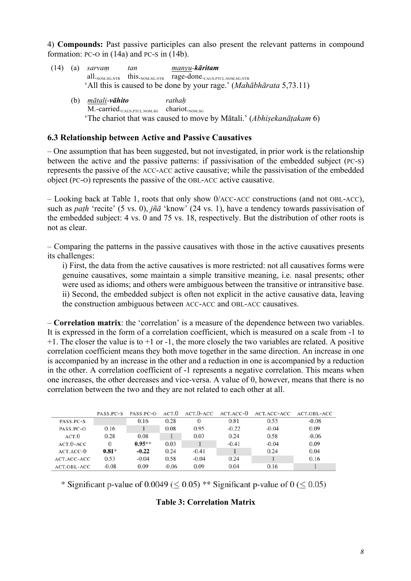4) **Compounds:** Past passive participles can also present the relevant patterns in compound formation: PC-O in (14a) and PC-S in (14b).

|     | $(14)$ (a) sarvam             | tan | manyu-k <b>āritam</b>                                                                 |
|-----|-------------------------------|-----|---------------------------------------------------------------------------------------|
|     |                               |     | $all_{.NOM.SG.NTR}$ this. $_{NOM.SG.NTR}$ rage-done. $_{\text{CAUS.PTCL.NOM.SG.NTR}}$ |
|     |                               |     | 'All this is caused to be done by your rage.' (Mahābhārata 5,73.11)                   |
| (b) | <u>mātali</u> -v <b>āhito</b> |     | rathah                                                                                |

M.-carried.<sub>CAUS.PTCL.NOM.SG</sub> chariot.<sub>NOM.SG</sub> 'The chariot that was caused to move by Mātali.' (*Abhiṣekanāṭakam* 6)

#### **6.3 Relationship between Active and Passive Causatives**

– One assumption that has been suggested, but not investigated, in prior work is the relationship between the active and the passive patterns: if passivisation of the embedded subject (PC-S) represents the passive of the ACC-ACC active causative; while the passivisation of the embedded object (PC-O) represents the passive of the OBL-ACC active causative.

– Looking back at Table 1, roots that only show 0/ACC-ACC constructions (and not OBL-ACC), such as *paṭh* 'recite' (5 vs. 0), *jñā* 'know' (24 vs. 1), have a tendency towards passivisation of the embedded subject: 4 vs. 0 and 75 vs. 18, respectively. But the distribution of other roots is not as clear.

– Comparing the patterns in the passive causatives with those in the active causatives presents its challenges:

i) First, the data from the active causatives is more restricted: not all causatives forms were genuine causatives, some maintain a simple transitive meaning, i.e. nasal presents; other were used as idioms; and others were ambiguous between the transitive or intransitive base. ii) Second, the embedded subject is often not explicit in the active causative data, leaving the construction ambiguous between ACC-ACC and OBL-ACC causatives.

– **Correlation matrix**: the 'correlation' is a measure of the dependence between two variables. It is expressed in the form of a correlation coefficient, which is measured on a scale from -1 to  $+1$ . The closer the value is to  $+1$  or  $-1$ , the more closely the two variables are related. A positive correlation coefficient means they both move together in the same direction. An increase in one is accompanied by an increase in the other and a reduction in one is accompanied by a reduction in the other. A correlation coefficient of -1 represents a negative correlation. This means when one increases, the other decreases and vice-versa. A value of 0, however, means that there is no correlation between the two and they are not related to each other at all.

|                    | PASS.PC-S | PASS.PC-O | ACT.O   | ACT.O-ACC | ACT.ACC-0 | ACT.ACC-ACC | ACT.OBL-ACC |
|--------------------|-----------|-----------|---------|-----------|-----------|-------------|-------------|
| PASS.PC-S          |           | 0.16      | 0.28    |           | 0.81      | 0.53        | $-0.08$     |
| PASS.PC-O          | 0.16      |           | 0.08    | 0.95      | $-0.22$   | $-0.04$     | 0.09        |
| ACT.O              | 0.28      | 0.08      |         | 0.03      | 0.24      | 0.58        | $-0.06$     |
| $ACT.0-ACC$        | 0         | $0.95***$ | 0.03    |           | $-0.41$   | $-0.04$     | 0.09        |
| ACT.ACC-0          | $0.81*$   | $-0.22$   | 0.24    | $-0.41$   |           | 0.24        | 0.04        |
| ACT.ACC-ACC        | 0.53      | $-0.04$   | 0.58    | $-0.04$   | 0.24      |             | 0.16        |
| <b>ACT.OBL-ACC</b> | $-0.08$   | 0.09      | $-0.06$ | 0.09      | 0.04      | 0.16        |             |

\* Significant p-value of 0.0049 ( $\leq$  0.05) \*\* Significant p-value of 0 ( $\leq$  0.05)

#### **Table 3: Correlation Matrix**